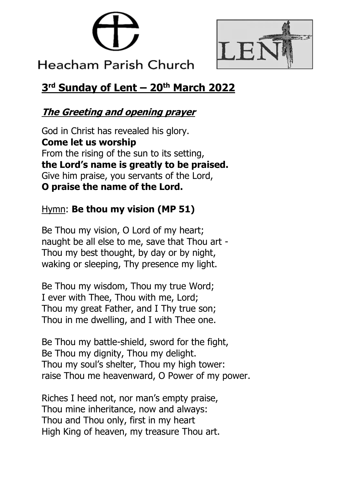



# **Heacham Parish Church**

# **3 rd Sunday of Lent – 20th March 2022**

# **The Greeting and opening prayer**

God in Christ has revealed his glory. **Come let us worship** From the rising of the sun to its setting, **the Lord's name is greatly to be praised.** Give him praise, you servants of the Lord, **O praise the name of the Lord.**

# Hymn: **Be thou my vision (MP 51)**

Be Thou my vision, O Lord of my heart; naught be all else to me, save that Thou art - Thou my best thought, by day or by night, waking or sleeping, Thy presence my light.

Be Thou my wisdom, Thou my true Word; I ever with Thee, Thou with me, Lord; Thou my great Father, and I Thy true son; Thou in me dwelling, and I with Thee one.

Be Thou my battle-shield, sword for the fight, Be Thou my dignity, Thou my delight. Thou my soul's shelter, Thou my high tower: raise Thou me heavenward, O Power of my power.

Riches I heed not, nor man's empty praise, Thou mine inheritance, now and always: Thou and Thou only, first in my heart High King of heaven, my treasure Thou art.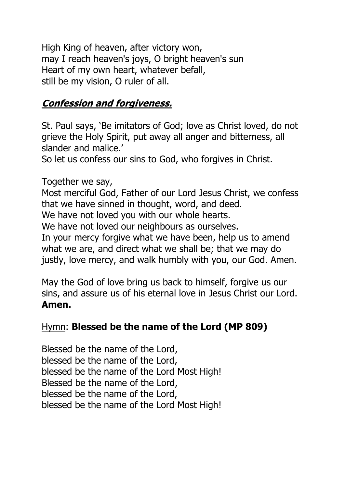High King of heaven, after victory won, may I reach heaven's joys, O bright heaven's sun Heart of my own heart, whatever befall, still be my vision, O ruler of all.

# **Confession and forgiveness.**

St. Paul says, 'Be imitators of God; love as Christ loved, do not grieve the Holy Spirit, put away all anger and bitterness, all slander and malice.'

So let us confess our sins to God, who forgives in Christ.

Together we say, Most merciful God, Father of our Lord Jesus Christ, we confess that we have sinned in thought, word, and deed. We have not loved you with our whole hearts. We have not loved our neighbours as ourselves. In your mercy forgive what we have been, help us to amend what we are, and direct what we shall be; that we may do justly, love mercy, and walk humbly with you, our God. Amen.

May the God of love bring us back to himself, forgive us our sins, and assure us of his eternal love in Jesus Christ our Lord. **Amen.**

#### Hymn: **Blessed be the name of the Lord (MP 809)**

Blessed be the name of the Lord, blessed be the name of the Lord, blessed be the name of the Lord Most High! Blessed be the name of the Lord, blessed be the name of the Lord, blessed be the name of the Lord Most High!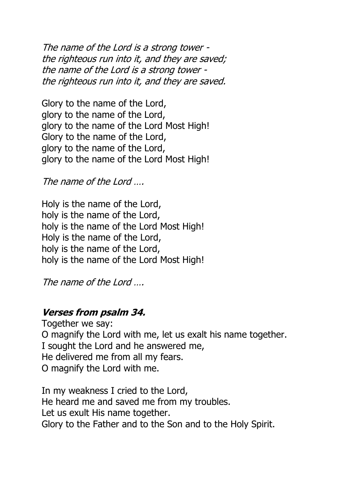The name of the Lord is a strong tower the righteous run into it, and they are saved; the name of the Lord is a strong tower the righteous run into it, and they are saved.

Glory to the name of the Lord, glory to the name of the Lord, glory to the name of the Lord Most High! Glory to the name of the Lord, glory to the name of the Lord, glory to the name of the Lord Most High!

The name of the Lord ...

Holy is the name of the Lord, holy is the name of the Lord, holy is the name of the Lord Most High! Holy is the name of the Lord, holy is the name of the Lord, holy is the name of the Lord Most High!

The name of the Lord ...

#### **Verses from psalm 34.**

Together we say: O magnify the Lord with me, let us exalt his name together. I sought the Lord and he answered me, He delivered me from all my fears. O magnify the Lord with me.

In my weakness I cried to the Lord, He heard me and saved me from my troubles. Let us exult His name together. Glory to the Father and to the Son and to the Holy Spirit.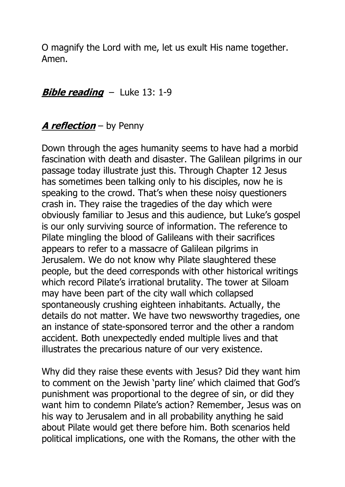O magnify the Lord with me, let us exult His name together. Amen.

## **Bible reading** – Luke 13: 1-9

# **A reflection** – by Penny

Down through the ages humanity seems to have had a morbid fascination with death and disaster. The Galilean pilgrims in our passage today illustrate just this. Through Chapter 12 Jesus has sometimes been talking only to his disciples, now he is speaking to the crowd. That's when these noisy questioners crash in. They raise the tragedies of the day which were obviously familiar to Jesus and this audience, but Luke's gospel is our only surviving source of information. The reference to Pilate mingling the blood of Galileans with their sacrifices appears to refer to a massacre of Galilean pilgrims in Jerusalem. We do not know why Pilate slaughtered these people, but the deed corresponds with other historical writings which record Pilate's irrational brutality. The tower at Siloam may have been part of the city wall which collapsed spontaneously crushing eighteen inhabitants. Actually, the details do not matter. We have two newsworthy tragedies, one an instance of state-sponsored terror and the other a random accident. Both unexpectedly ended multiple lives and that illustrates the precarious nature of our very existence.

Why did they raise these events with Jesus? Did they want him to comment on the Jewish 'party line' which claimed that God's punishment was proportional to the degree of sin, or did they want him to condemn Pilate's action? Remember, Jesus was on his way to Jerusalem and in all probability anything he said about Pilate would get there before him. Both scenarios held political implications, one with the Romans, the other with the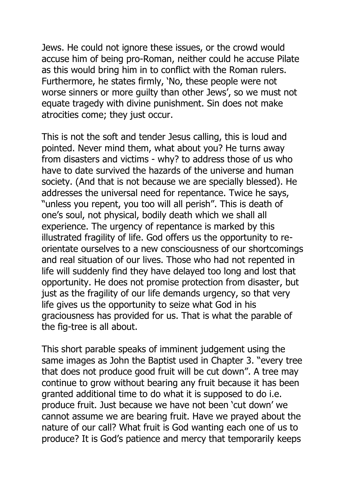Jews. He could not ignore these issues, or the crowd would accuse him of being pro-Roman, neither could he accuse Pilate as this would bring him in to conflict with the Roman rulers. Furthermore, he states firmly, 'No, these people were not worse sinners or more guilty than other Jews', so we must not equate tragedy with divine punishment. Sin does not make atrocities come; they just occur.

This is not the soft and tender Jesus calling, this is loud and pointed. Never mind them, what about you? He turns away from disasters and victims - why? to address those of us who have to date survived the hazards of the universe and human society. (And that is not because we are specially blessed). He addresses the universal need for repentance. Twice he says, "unless you repent, you too will all perish". This is death of one's soul, not physical, bodily death which we shall all experience. The urgency of repentance is marked by this illustrated fragility of life. God offers us the opportunity to reorientate ourselves to a new consciousness of our shortcomings and real situation of our lives. Those who had not repented in life will suddenly find they have delayed too long and lost that opportunity. He does not promise protection from disaster, but just as the fragility of our life demands urgency, so that very life gives us the opportunity to seize what God in his graciousness has provided for us. That is what the parable of the fig-tree is all about.

This short parable speaks of imminent judgement using the same images as John the Baptist used in Chapter 3. "every tree that does not produce good fruit will be cut down". A tree may continue to grow without bearing any fruit because it has been granted additional time to do what it is supposed to do i.e. produce fruit. Just because we have not been 'cut down' we cannot assume we are bearing fruit. Have we prayed about the nature of our call? What fruit is God wanting each one of us to produce? It is God's patience and mercy that temporarily keeps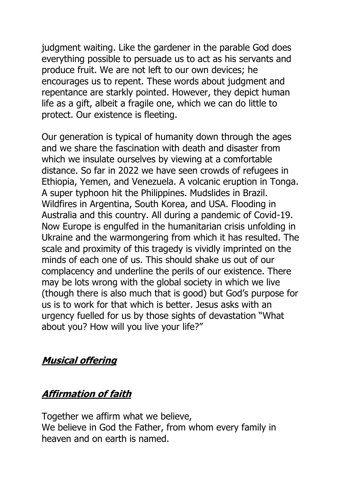judgment waiting. Like the gardener in the parable God does everything possible to persuade us to act as his servants and produce fruit. We are not left to our own devices; he encourages us to repent. These words about judgment and repentance are starkly pointed. However, they depict human life as a gift, albeit a fragile one, which we can do little to protect. Our existence is fleeting.

Our generation is typical of humanity down through the ages and we share the fascination with death and disaster from which we insulate ourselves by viewing at a comfortable distance. So far in 2022 we have seen crowds of refugees in Ethiopia, Yemen, and Venezuela. A volcanic eruption in Tonga. A super typhoon hit the Philippines. Mudslides in Brazil. Wildfires in Argentina, South Korea, and USA. Flooding in Australia and this country. All during a pandemic of Covid-19. Now Europe is engulfed in the humanitarian crisis unfolding in Ukraine and the warmongering from which it has resulted. The scale and proximity of this tragedy is vividly imprinted on the minds of each one of us. This should shake us out of our complacency and underline the perils of our existence. There may be lots wrong with the global society in which we live (though there is also much that is good) but God's purpose for us is to work for that which is better. Jesus asks with an urgency fuelled for us by those sights of devastation "What about you? How will you live your life?"

#### **Musical offering**

#### **Affirmation of faith**

Together we affirm what we believe, We believe in God the Father, from whom every family in heaven and on earth is named.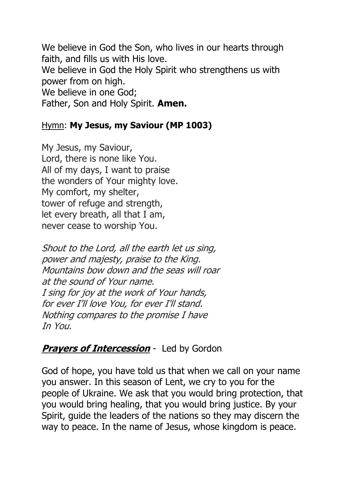We believe in God the Son, who lives in our hearts through faith, and fills us with His love. We believe in God the Holy Spirit who strengthens us with power from on high. We believe in one God; Father, Son and Holy Spirit. **Amen.**

#### Hymn: **My Jesus, my Saviour (MP 1003)**

My Jesus, my Saviour, Lord, there is none like You. All of my days, I want to praise the wonders of Your mighty love. My comfort, my shelter, tower of refuge and strength, let every breath, all that I am, never cease to worship You.

Shout to the Lord, all the earth let us sing, power and majesty, praise to the King. Mountains bow down and the seas will roar at the sound of Your name. I sing for joy at the work of Your hands, for ever I'll love You, for ever I'll stand. Nothing compares to the promise I have In You.

# **Prayers of Intercession** - Led by Gordon

God of hope, you have told us that when we call on your name you answer. In this season of Lent, we cry to you for the people of Ukraine. We ask that you would bring protection, that you would bring healing, that you would bring justice. By your Spirit, guide the leaders of the nations so they may discern the way to peace. In the name of Jesus, whose kingdom is peace.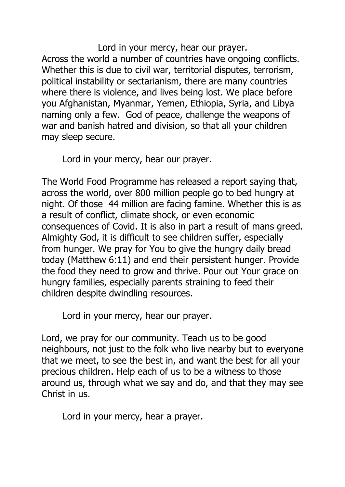Lord in your mercy, hear our prayer. Across the world a number of countries have ongoing conflicts. Whether this is due to civil war, territorial disputes, terrorism, political instability or sectarianism, there are many countries where there is violence, and lives being lost. We place before you Afghanistan, Myanmar, Yemen, Ethiopia, Syria, and Libya naming only a few. God of peace, challenge the weapons of war and banish hatred and division, so that all your children may sleep secure.

Lord in your mercy, hear our prayer.

The World Food Programme has released a report saying that, across the world, over 800 million people go to bed hungry at night. Of those 44 million are facing famine. Whether this is as a result of conflict, climate shock, or even economic consequences of Covid. It is also in part a result of mans greed. Almighty God, it is difficult to see children suffer, especially from hunger. We pray for You to give the hungry daily bread today (Matthew 6:11) and end their persistent hunger. Provide the food they need to grow and thrive. Pour out Your grace on hungry families, especially parents straining to feed their children despite dwindling resources.

Lord in your mercy, hear our prayer.

Lord, we pray for our community. Teach us to be good neighbours, not just to the folk who live nearby but to everyone that we meet, to see the best in, and want the best for all your precious children. Help each of us to be a witness to those around us, through what we say and do, and that they may see Christ in us.

Lord in your mercy, hear a prayer.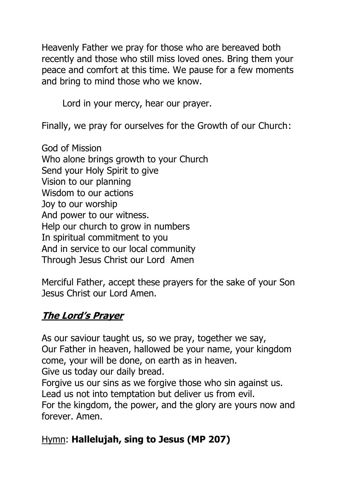Heavenly Father we pray for those who are bereaved both recently and those who still miss loved ones. Bring them your peace and comfort at this time. We pause for a few moments and bring to mind those who we know.

Lord in your mercy, hear our prayer.

Finally, we pray for ourselves for the Growth of our Church:

God of Mission Who alone brings growth to your Church Send your Holy Spirit to give Vision to our planning Wisdom to our actions Joy to our worship And power to our witness. Help our church to grow in numbers In spiritual commitment to you And in service to our local community Through Jesus Christ our Lord Amen

Merciful Father, accept these prayers for the sake of your Son Jesus Christ our Lord Amen.

# **The Lord's Prayer**

As our saviour taught us, so we pray, together we say, Our Father in heaven, hallowed be your name, your kingdom come, your will be done, on earth as in heaven. Give us today our daily bread.

Forgive us our sins as we forgive those who sin against us. Lead us not into temptation but deliver us from evil. For the kingdom, the power, and the glory are yours now and forever. Amen.

# Hymn: **Hallelujah, sing to Jesus (MP 207)**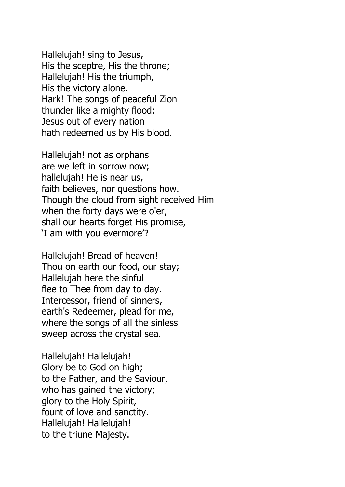Hallelujah! sing to Jesus, His the sceptre, His the throne; Hallelujah! His the triumph, His the victory alone. Hark! The songs of peaceful Zion thunder like a mighty flood: Jesus out of every nation hath redeemed us by His blood.

Hallelujah! not as orphans are we left in sorrow now; hallelujah! He is near us, faith believes, nor questions how. Though the cloud from sight received Him when the forty days were o'er, shall our hearts forget His promise, 'I am with you evermore'?

Hallelujah! Bread of heaven! Thou on earth our food, our stay; Hallelujah here the sinful flee to Thee from day to day. Intercessor, friend of sinners, earth's Redeemer, plead for me, where the songs of all the sinless sweep across the crystal sea.

Hallelujah! Hallelujah! Glory be to God on high; to the Father, and the Saviour, who has gained the victory; glory to the Holy Spirit, fount of love and sanctity. Hallelujah! Hallelujah! to the triune Majesty.